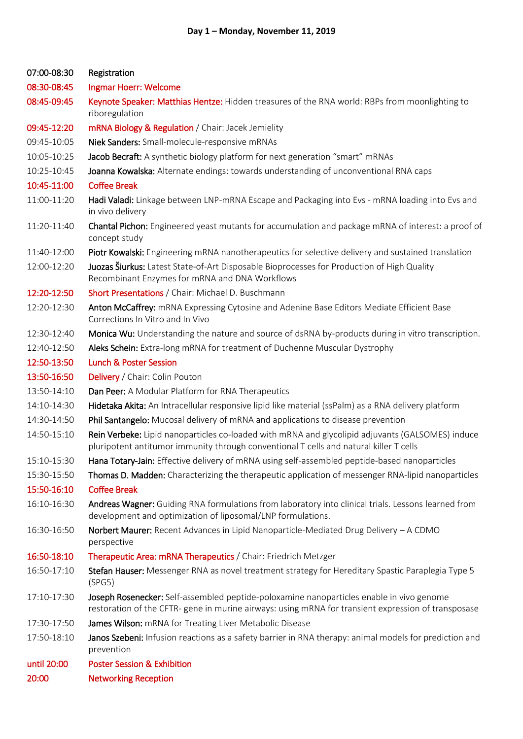| 07:00-08:30 | Registration                                                                                                                                                                                    |
|-------------|-------------------------------------------------------------------------------------------------------------------------------------------------------------------------------------------------|
| 08:30-08:45 | Ingmar Hoerr: Welcome                                                                                                                                                                           |
| 08:45-09:45 | Keynote Speaker: Matthias Hentze: Hidden treasures of the RNA world: RBPs from moonlighting to<br>riboregulation                                                                                |
| 09:45-12:20 | mRNA Biology & Regulation / Chair: Jacek Jemielity                                                                                                                                              |
| 09:45-10:05 | Niek Sanders: Small-molecule-responsive mRNAs                                                                                                                                                   |
| 10:05-10:25 | Jacob Becraft: A synthetic biology platform for next generation "smart" mRNAs                                                                                                                   |
| 10:25-10:45 | Joanna Kowalska: Alternate endings: towards understanding of unconventional RNA caps                                                                                                            |
| 10:45-11:00 | <b>Coffee Break</b>                                                                                                                                                                             |
| 11:00-11:20 | Hadi Valadi: Linkage between LNP-mRNA Escape and Packaging into Evs - mRNA loading into Evs and<br>in vivo delivery                                                                             |
| 11:20-11:40 | Chantal Pichon: Engineered yeast mutants for accumulation and package mRNA of interest: a proof of<br>concept study                                                                             |
| 11:40-12:00 | Piotr Kowalski: Engineering mRNA nanotherapeutics for selective delivery and sustained translation                                                                                              |
| 12:00-12:20 | Juozas Šiurkus: Latest State-of-Art Disposable Bioprocesses for Production of High Quality<br>Recombinant Enzymes for mRNA and DNA Workflows                                                    |
| 12:20-12:50 | Short Presentations / Chair: Michael D. Buschmann                                                                                                                                               |
| 12:20-12:30 | Anton McCaffrey: mRNA Expressing Cytosine and Adenine Base Editors Mediate Efficient Base<br>Corrections In Vitro and In Vivo                                                                   |
| 12:30-12:40 | Monica Wu: Understanding the nature and source of dsRNA by-products during in vitro transcription.                                                                                              |
| 12:40-12:50 | Aleks Schein: Extra-long mRNA for treatment of Duchenne Muscular Dystrophy                                                                                                                      |
| 12:50-13:50 | <b>Lunch &amp; Poster Session</b>                                                                                                                                                               |
| 13:50-16:50 | Delivery / Chair: Colin Pouton                                                                                                                                                                  |
| 13:50-14:10 | Dan Peer: A Modular Platform for RNA Therapeutics                                                                                                                                               |
| 14:10-14:30 | Hidetaka Akita: An Intracellular responsive lipid like material (ssPalm) as a RNA delivery platform                                                                                             |
| 14:30-14:50 | Phil Santangelo: Mucosal delivery of mRNA and applications to disease prevention                                                                                                                |
| 14:50-15:10 | Rein Verbeke: Lipid nanoparticles co-loaded with mRNA and glycolipid adjuvants (GALSOMES) induce<br>pluripotent antitumor immunity through conventional T cells and natural killer T cells      |
| 15:10-15:30 | Hana Totary-Jain: Effective delivery of mRNA using self-assembled peptide-based nanoparticles                                                                                                   |
| 15:30-15:50 | Thomas D. Madden: Characterizing the therapeutic application of messenger RNA-lipid nanoparticles                                                                                               |
| 15:50-16:10 | <b>Coffee Break</b>                                                                                                                                                                             |
| 16:10-16:30 | Andreas Wagner: Guiding RNA formulations from laboratory into clinical trials. Lessons learned from<br>development and optimization of liposomal/LNP formulations.                              |
| 16:30-16:50 | Norbert Maurer: Recent Advances in Lipid Nanoparticle-Mediated Drug Delivery - A CDMO<br>perspective                                                                                            |
| 16:50-18:10 | Therapeutic Area: mRNA Therapeutics / Chair: Friedrich Metzger                                                                                                                                  |
| 16:50-17:10 | Stefan Hauser: Messenger RNA as novel treatment strategy for Hereditary Spastic Paraplegia Type 5<br>(SPG5)                                                                                     |
| 17:10-17:30 | Joseph Rosenecker: Self-assembled peptide-poloxamine nanoparticles enable in vivo genome<br>restoration of the CFTR- gene in murine airways: using mRNA for transient expression of transposase |
| 17:30-17:50 | James Wilson: mRNA for Treating Liver Metabolic Disease                                                                                                                                         |
| 17:50-18:10 | Janos Szebeni: Infusion reactions as a safety barrier in RNA therapy: animal models for prediction and<br>prevention                                                                            |
| until 20:00 | <b>Poster Session &amp; Exhibition</b>                                                                                                                                                          |
| 20:00       | <b>Networking Reception</b>                                                                                                                                                                     |